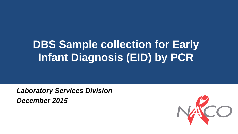# **DBS Sample collection for Early Infant Diagnosis (EID) by PCR**

*Laboratory Services Division December 2015*

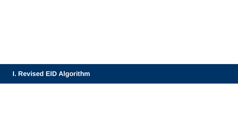### **I. Revised EID Algorithm**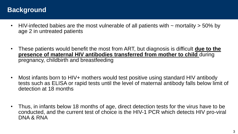### **Background**

- HIV-infected babies are the most vulnerable of all patients with  $\sim$  mortality  $>$  50% by age 2 in untreated patients
- These patients would benefit the most from ART, but diagnosis is difficult **due to the presence of maternal HIV antibodies transferred from mother to child** during pregnancy, childbirth and breastfeeding
- Most infants born to HIV+ mothers would test positive using standard HIV antibody tests such as ELISA or rapid tests until the level of maternal antibody falls below limit of detection at 18 months
- Thus, in infants below 18 months of age, direct detection tests for the virus have to be conducted, and the current test of choice is the HIV-1 PCR which detects HIV pro-viral DNA & RNA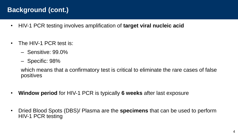### **Background (cont.)**

- HIV-1 PCR testing involves amplification of **target viral nucleic acid**
- The HIV-1 PCR test is:
	- Sensitive: 99.0%
	- Specific: 98%

which means that a confirmatory test is critical to eliminate the rare cases of false positives

- **Window period** for HIV-1 PCR is typically **6 weeks** after last exposure
- Dried Blood Spots (DBS)/ Plasma are the **specimens** that can be used to perform HIV-1 PCR testing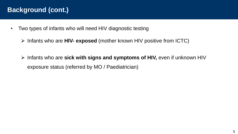### **Background (cont.)**

- Two types of infants who will need HIV diagnostic testing
	- Infants who are **HIV- exposed** (mother known HIV positive from ICTC)
	- Infants who are **sick with signs and symptoms of HIV,** even if unknown HIV exposure status (referred by MO / Paediatrician)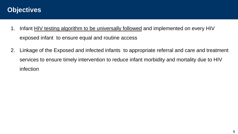### **Objectives**

- 1. Infant HIV testing algorithm to be universally followed and implemented on every HIV exposed infant to ensure equal and routine access
- 2. Linkage of the Exposed and infected infants to appropriate referral and care and treatment services to ensure timely intervention to reduce infant morbidity and mortality due to HIV infection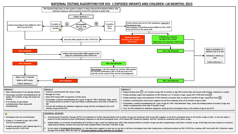#### **NATIONAL TESTING ALGORITHM FOR HIV- 1 EXPOSED INFANTS AND CHILDREN <18 MONTHS: 2015**

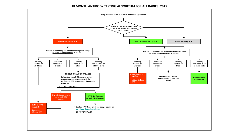#### **18 MONTH ANTIBODY TESTING ALGORITHM FOR ALL BABIES: 2015**

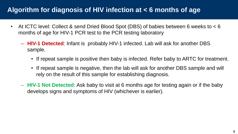### **Algorithm for diagnosis of HIV infection at < 6 months of age**

- At ICTC level: Collect & send Dried Blood Spot (DBS) of babies between 6 weeks to < 6 months of age for HIV-1 PCR test to the PCR testing laboratory
	- **HIV-1 Detected**: Infant is probably HIV-1 infected. Lab will ask for another DBS sample.
		- If repeat sample is positive then baby is infected. Refer baby to ARTC for treatment.
		- If repeat sample is negative, then the lab will ask for another DBS sample and will rely on the result of this sample for establishing diagnosis.
	- **HIV-1 Not Detected**: Ask baby to visit at 6 months age for testing again or if the baby develops signs and symptoms of HIV (whichever is earlier).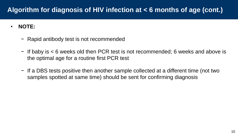### **Algorithm for diagnosis of HIV infection at < 6 months of age (cont.)**

- **NOTE:**
	- − Rapid antibody test is not recommended
	- − If baby is < 6 weeks old then PCR test is not recommended; 6 weeks and above is the optimal age for a routine first PCR test
	- − If a DBS tests positive then another sample collected at a different time (not two samples spotted at same time) should be sent for confirming diagnosis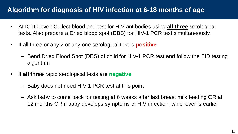### **Algorithm for diagnosis of HIV infection at 6-18 months of age**

- At ICTC level: Collect blood and test for HIV antibodies using **all three** serological tests. Also prepare a Dried blood spot (DBS) for HIV-1 PCR test simultaneously.
- If all three or any 2 or any one serological test is **positive**
	- Send Dried Blood Spot (DBS) of child for HIV-1 PCR test and follow the EID testing algorithm
- If **all three** rapid serological tests are **negative**
	- Baby does not need HIV-1 PCR test at this point
	- Ask baby to come back for testing at 6 weeks after last breast milk feeding OR at 12 months OR if baby develops symptoms of HIV infection, whichever is earlier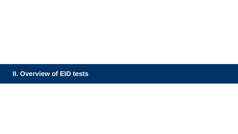### **II. Overview of EID tests**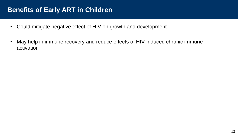### **Benefits of Early ART in Children**

- Could mitigate negative effect of HIV on growth and development
- May help in immune recovery and reduce effects of HIV-induced chronic immune activation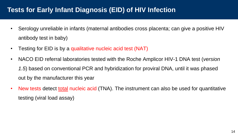### **Tests for Early Infant Diagnosis (EID) of HIV Infection**

- Serology unreliable in infants (maternal antibodies cross placenta; can give a positive HIV antibody test in baby)
- Testing for EID is by a qualitative nucleic acid test (NAT)
- NACO EID referral laboratories tested with the Roche Amplicor HIV-1 DNA test (*version 1.5*) based on conventional PCR and hybridization for proviral DNA, until it was phased out by the manufacturer this year
- New tests detect total nucleic acid (TNA). The instrument can also be used for quantitative testing (viral load assay)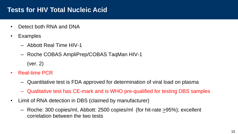### **Tests for HIV Total Nucleic Acid**

- Detect both RNA and DNA
- Examples
	- Abbott Real Time HIV-1
	- Roche COBAS AmpliPrep/COBAS TaqMan HIV-1 (ver. 2)
- Real-time PCR
	- Quantitative test is FDA approved for determination of viral load on plasma
	- Qualitative test has CE-mark and is WHO pre-qualified for testing DBS samples
- Limit of RNA detection in DBS (claimed by manufacturer)
	- Roche: 300 copies/ml, Abbott: 2500 copies/ml (for hit-rate  $\geq$ 95%); excellent correlation between the two tests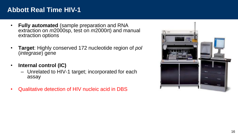### **Abbott Real Time HIV-1**

- **Fully automated** (sample preparation and RNA extraction on *m*2000sp, test on *m*2000rt) and manual extraction options
- **Target**: Highly conserved 172 nucleotide region of *pol*  (*integrase*) gene
- **Internal control (IC)**
	- Unrelated to HIV-1 target; incorporated for each assay
- Qualitative detection of HIV nucleic acid in DBS

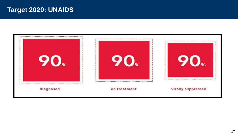### **Target 2020: UNAIDS**

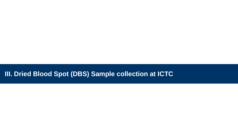### **III. Dried Blood Spot (DBS) Sample collection at ICTC**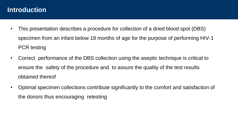### **Introduction**

- This presentation describes a procedure for collection of a dried blood spot (DBS) specimen from an infant below 18 months of age for the purpose of performing HIV-1 PCR testing
- Correct performance of the DBS collection using the aseptic technique is critical to ensure the safety of the procedure and to assure the quality of the test results obtained thereof
- Optimal specimen collections contribute significantly to the comfort and satisfaction of the donors thus encouraging retesting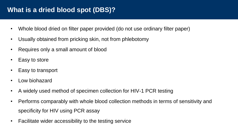### **What is a dried blood spot (DBS)?**

- Whole blood dried on filter paper provided (do not use ordinary filter paper)
- Usually obtained from pricking skin, not from phlebotomy
- Requires only a small amount of blood
- Easy to store
- Easy to transport
- Low biohazard
- A widely used method of specimen collection for HIV-1 PCR testing
- Performs comparably with whole blood collection methods in terms of sensitivity and specificity for HIV using PCR assay
- Facilitate wider accessibility to the testing service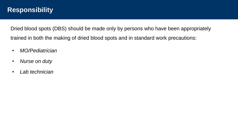### **Responsibility**

Dried blood spots (DBS) should be made only by persons who have been appropriately trained in both the making of dried blood spots and in standard work precautions:

- *MO/Pediatrician*
- *Nurse on duty*
- *Lab technician*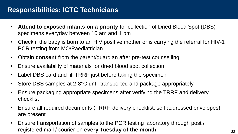### **Responsibilities: ICTC Technicians**

- **Attend to exposed infants on a priority** for collection of Dried Blood Spot (DBS) specimens everyday between 10 am and 1 pm
- Check if the baby is born to an HIV positive mother or is carrying the referral for HIV-1 PCR testing from MO/Paediatrician
- Obtain **consent** from the parent/guardian after pre-test counselling
- Ensure availability of materials for dried blood spot collection
- Label DBS card and fill TRRF just before taking the specimen
- Store DBS samples at 2-8°C until transported and package appropriately
- Ensure packaging appropriate specimens after verifying the TRRF and delivery checklist
- Ensure all required documents (TRRF, delivery checklist, self addressed envelopes) are present
- Ensure transportation of samples to the PCR testing laboratory through post / registered mail / courier on **every Tuesday of the month**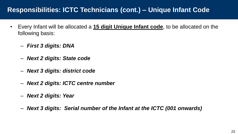### **Responsibilities: ICTC Technicians (cont.) – Unique Infant Code**

- Every Infant will be allocated a **15 digit Unique Infant code**, to be allocated on the following basis:
	- *First 3 digits: DNA*
	- *Next 2 digits: State code*
	- *Next 3 digits: district code*
	- *Next 2 digits: ICTC centre number*
	- *Next 2 digits: Year*
	- *Next 3 digits: Serial number of the Infant at the ICTC (001 onwards)*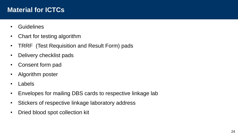### **Material for ICTCs**

- Guidelines
- Chart for testing algorithm
- TRRF (Test Requisition and Result Form) pads
- Delivery checklist pads
- Consent form pad
- Algorithm poster
- Labels
- Envelopes for mailing DBS cards to respective linkage lab
- Stickers of respective linkage laboratory address
- Dried blood spot collection kit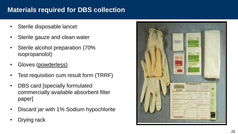### **Materials required for DBS collection**

- Sterile disposable lancet
- Sterile gauze and clean water
- Sterile alcohol preparation (70% isopropanolol)
- Gloves (powderless)
- Test requisition cum result form (TRRF)
- DBS card [specially formulated commercially available absorbent filter paper]
- Discard jar with 1% Sodium hypochlorite
- Drying rack

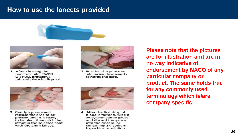### **How to use the lancets provided**





1. After cleaning the puncture site, TWIST OR PULL protective tab and place in disposal.



2. Position the puncture site facing downwards towards the card.



3. Gently squeeze and release the area to be pricked until it is ready to be bled, then prick the infant in the selected spot with the 2mm lancet.



4. After the first drop of blood is formed, wipe it away with sterile gauze and discard the gauze into the discard jar containing 1% sodium hypochlorite solution.

**Please note that the pictures are for illustration and are in no way indicative of endorsement by NACO of any particular company or product. The same holds true for any commonly used terminology which is/are company specific**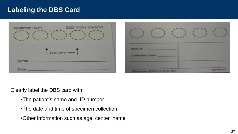### **Labeling the DBS Card**



Clearly label the DBS card with:

- •The patient's name and ID number
- •The date and time of specimen collection
- •Other information such as age, center name

6248806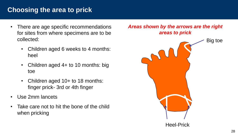### **Choosing the area to prick**

- There are age specific recommendations for sites from where specimens are to be collected:
	- Children aged 6 weeks to 4 months: heel
	- Children aged  $4+$  to 10 months: big toe
	- Children aged 10+ to 18 months: finger prick- 3rd or 4th finger
- Use 2mm lancets
- Take care not to hit the bone of the child when pricking

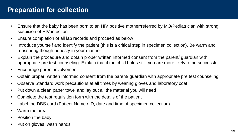### **Preparation for collection**

- Ensure that the baby has been born to an HIV positive mother/referred by MO/Pediatrician with strong suspicion of HIV infection
- Ensure completion of all lab records and proceed as below
- Introduce yourself and identify the patient (this is a critical step in specimen collection). Be warm and reassuring though honesty in your manner
- Explain the procedure and obtain proper written informed consent from the parent/ guardian with appropriate pre test counseling. Explain that if the child holds still, you are more likely to be successful
- Encourage parent involvement
- Obtain proper written informed consent from the parent/ guardian with appropriate pre test counseling
- Observe Standard work precautions at all times by wearing gloves and laboratory coat
- Put down a clean paper towel and lay out all the material you will need
- Complete the test requisition form with the details of the patient
- Label the DBS card (Patient Name / ID, date and time of specimen collection)
- Warm the area
- Position the baby
- Put on gloves, wash hands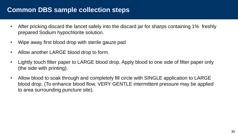### **Common DBS sample collection steps**

- After pricking discard the lancet safely into the discard jar for sharps containing 1% freshly prepared Sodium hypochlorite solution.
- Wipe away first blood drop with sterile gauze pad
- Allow another LARGE blood drop to form.
- Lightly touch filter paper to LARGE blood drop. Apply blood to one side of filter paper only (the side with printing).
- Allow blood to soak through and completely fill circle with SINGLE application to LARGE blood drop. (To enhance blood flow, VERY GENTLE intermittent pressure may be applied to area surrounding puncture site).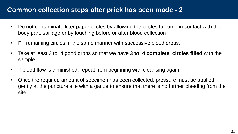### **Common collection steps after prick has been made - 2**

- Do not contaminate filter paper circles by allowing the circles to come in contact with the body part, spillage or by touching before or after blood collection
- Fill remaining circles in the same manner with successive blood drops.
- Take at least 3 to 4 good drops so that we have **3 to 4 complete circles filled** with the sample
- If blood flow is diminished, repeat from beginning with cleansing again
- Once the required amount of specimen has been collected, pressure must be applied gently at the puncture site with a gauze to ensure that there is no further bleeding from the site.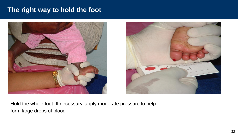### **The right way to hold the foot**





Hold the whole foot. If necessary, apply moderate pressure to help form large drops of blood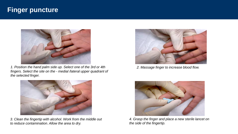### **Finger puncture**



*1. Position the hand palm side up. Select one of the 3rd or 4th fingers. Select the site on the - medial /lateral upper quadrant of the selected finger.*



*3. Clean the fingertip with alcohol. Work from the middle out to reduce contamination. Allow the area to dry.* 



*2. Massage finger to increase blood flow.* 



*4. Grasp the finger and place a new sterile lancet on the side of the fingertip.*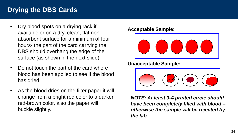### **Drying the DBS Cards**

- Dry blood spots on a drying rack if available or on a dry, clean, flat nonabsorbent surface for a minimum of four hours- the part of the card carrying the DBS should overhang the edge of the surface (as shown in the next slide)
- Do not touch the part of the card where blood has been applied to see if the blood has dried.
- As the blood dries on the filter paper it will change from a bright red color to a darker red-brown color, also the paper will buckle slightly.

#### **Acceptable Sample**:



**Unacceptable Sample:**



*NOTE: At least 3-4 printed circle should have been completely filled with blood – otherwise the sample will be rejected by the lab*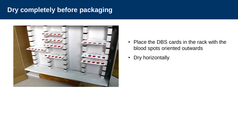### **Dry completely before packaging**



- Place the DBS cards in the rack with the blood spots oriented outwards
- Dry horizontally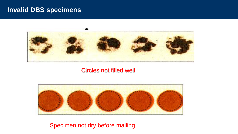### **Invalid DBS specimens**



Circles not filled well



Specimen not dry before mailing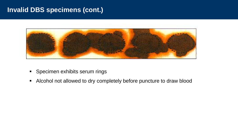### **Invalid DBS specimens (cont.)**



- **Specimen exhibits serum rings**
- Alcohol not allowed to dry completely before puncture to draw blood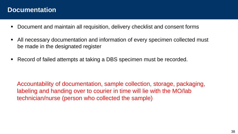### **Documentation**

- Document and maintain all requisition, delivery checklist and consent forms
- All necessary documentation and information of every specimen collected must be made in the designated register
- Record of failed attempts at taking a DBS specimen must be recorded.

Accountability of documentation, sample collection, storage, packaging, labeling and handing over to courier in time will lie with the MO/lab technician/nurse (person who collected the sample)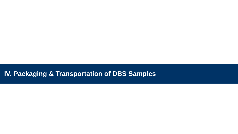### **IV. Packaging & Transportation of DBS Samples**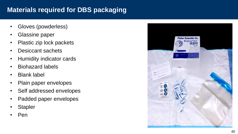### **Materials required for DBS packaging**

- Gloves (powderless)
- Glassine paper
- Plastic zip lock packets
- Desiccant sachets
- Humidity indicator cards
- Biohazard labels
- Blank label
- Plain paper envelopes
- Self addressed envelopes
- Padded paper envelopes
- Stapler
- Pen

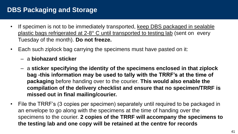### **DBS Packaging and Storage**

- If specimen is not to be immediately transported, keep DBS packaged in sealable plastic bags refrigerated at 2-8° C until transported to testing lab (sent on every Tuesday of the month). **Do not freeze.**
- Each such ziplock bag carrying the specimens must have pasted on it:
	- a **biohazard sticker**
	- a **sticker specifying the identity of the specimens enclosed in that ziplock bag -this information may be used to tally with the TRRF's at the time of packaging** before handing over to the courier. **This would also enable the compilation of the delivery checklist and ensure that no specimen/TRRF is missed out in final mailing/courier.**
- File the TRRF's (3 copies per specimen) separately until required to be packaged in an envelope to go along with the specimens at the time of handing over the specimens to the courier. **2 copies of the TRRF will accompany the specimens to the testing lab and one copy will be retained at the centre for records**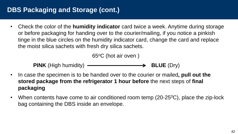### **DBS Packaging and Storage (cont.)**

• Check the color of the **humidity indicator** card twice a week. Anytime during storage or before packaging for handing over to the courier/mailing, if you notice a pinkish tinge in the blue circles on the humidity indicator card, change the card and replace the moist silica sachets with fresh dry silica sachets.

65<sup>o</sup>C (hot air oven )

**PINK** (High humidity) **CONSCRIPTION BLUE** (Dry)

- In case the specimen is to be handed over to the courier or mailed**, pull out the stored package from the refrigerator 1 hour before** the next steps of **final packaging**
- When contents have come to air conditioned room temp  $(20-25\degree C)$ , place the zip-lock bag containing the DBS inside an envelope.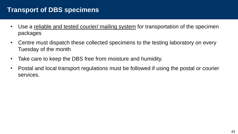### **Transport of DBS specimens**

- Use a reliable and tested courier/ mailing system for transportation of the specimen packages
- Centre must dispatch these collected specimens to the testing laboratory on every Tuesday of the month
- Take care to keep the DBS free from moisture and humidity.
- Postal and local transport regulations must be followed if using the postal or courier services.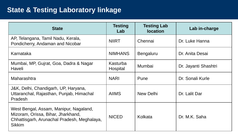### **State & Testing Laboratory linkage**

| <b>State</b>                                                                                                                                 | <b>Testing</b><br>Lab | <b>Testing Lab</b><br><b>location</b> | Lab in-charge        |  |
|----------------------------------------------------------------------------------------------------------------------------------------------|-----------------------|---------------------------------------|----------------------|--|
| AP, Telangana, Tamil Nadu, Kerala,<br>Pondicherry, Andaman and Nicobar                                                                       | <b>NIIRT</b>          | Chennai                               | Dr. Luke Hanna       |  |
| Karnataka                                                                                                                                    | <b>NIMHANS</b>        | <b>Bengaluru</b>                      | Dr. Anita Desai      |  |
| Mumbai, MP, Gujrat, Goa, Dadra & Nagar<br>Haveli                                                                                             | Kasturba<br>Hospital  | Mumbai                                | Dr. Jayanti Shashtri |  |
| Maharashtra                                                                                                                                  | <b>NARI</b>           | Pune                                  | Dr. Sonali Kurle     |  |
| J&K, Delhi, Chandigarh, UP, Haryana,<br>Uttaranchal, Rajasthan, Punjab, Himachal<br><b>Pradesh</b>                                           | <b>AIIMS</b>          | New Delhi                             | Dr. Lalit Dar        |  |
| West Bengal, Assam, Manipur, Nagaland,<br>Mizoram, Orissa, Bihar, Jharkhand,<br>Chhattisgarh, Arunachal Pradesh, Meghalaya,<br><b>Sikkim</b> | <b>NICED</b>          | Kolkata                               | Dr. M.K. Saha        |  |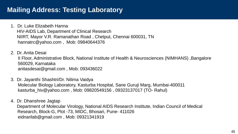### **Mailing Address: Testing Laboratory**

- 1. Dr. Luke Elizabeth Hanna HIV-AIDS Lab, Department of Clinical Research NIIRT, Mayor V.R. Ramanathan Road , Chetput, Chennai 600031, TN hannatrc@yahoo.com , Mob: 09840644376
- 2. Dr. Anita Desai

II Floor, Administrative Block, National Institute of Health & Neurosciences (NIMHANS) ,Bangalore 560029, Karnataka anitasdesai@gmail.com , Mob: 093436022

- 3. Dr. Jayanthi Shashtri/Dr. Nilima Vaidya Molecular Biology Laboratory, Kasturba Hospital, Sane Guruji Marg, Mumbai-400011 kasturba\_hiv@yahoo.com , Mob: 09820549156 , 09323137017 (TO- Rahul)
- 4. Dr. Dhanshree Jagtap Department of Molecular Virology, National AIDS Research Institute, Indian Council of Medical Research, Block-G, Plot -73, MIDC, Bhosari, Pune- 411026 eidnarilab@gmail.com , Mob: 09321341919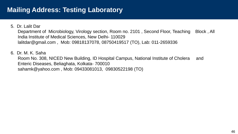### **Mailing Address: Testing Laboratory**

#### 5. Dr. Lalit Dar

Department of Microbiology, Virology section, Room no. 2101, Second Floor, Teaching Block, All India Institute of Medical Sciences, New Delhi- 110029 lalitdar@gmail.com , Mob: 09818137078, 08750419517 (TO), Lab: 011-2659336

#### 6. Dr. M. K. Saha

Room No. 308, NICED New Building, ID Hospital Campus, National Institute of Cholera and Enteric Diseases, Beliaghata, Kolkata- 700010 sahamk@yahoo.com , Mob: 09433081013, 09830522198 (TO)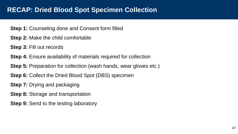### **RECAP: Dried Blood Spot Specimen Collection**

#### **Step 1:** Counseling done and Consent form filled

- **Step 2:** Make the child comfortable
- **Step 3:** Fill out records
- **Step 4:** Ensure availability of materials required for collection
- **Step 5:** Preparation for collection (wash hands, wear gloves etc.)
- **Step 6:** Collect the Dried Blood Spot (DBS) specimen
- **Step 7:** Drying and packaging
- **Step 8:** Storage and transportation
- **Step 9:** Send to the testing laboratory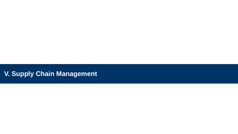### **V. Supply Chain Management**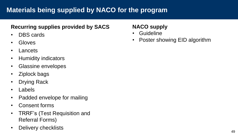## **Materials being supplied by NACO for the program**

### **Recurring supplies provided by SACS**

- DBS cards
- Gloves
- Lancets
- Humidity indicators
- Glassine envelopes
- Ziplock bags
- Drying Rack
- Labels
- Padded envelope for mailing
- Consent forms
- TRRF's (Test Requisition and Referral Forms)
- Delivery checklists

### **NACO supply**

- Guideline
- Poster showing EID algorithm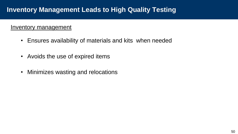#### Inventory management

- Ensures availability of materials and kits when needed
- Avoids the use of expired items
- Minimizes wasting and relocations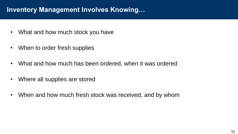### **Inventory Management Involves Knowing…**

- What and how much stock you have
- When to order fresh supplies
- What and how much has been ordered, when it was ordered
- Where all supplies are stored
- When and how much fresh stock was received, and by whom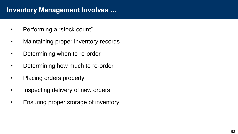### **Inventory Management Involves …**

- Performing a "stock count"
- Maintaining proper inventory records
- Determining when to re-order
- Determining how much to re-order
- Placing orders properly
- Inspecting delivery of new orders
- Ensuring proper storage of inventory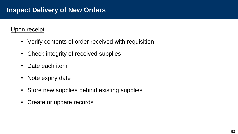### **Inspect Delivery of New Orders**

### Upon receipt

- Verify contents of order received with requisition
- Check integrity of received supplies
- Date each item
- Note expiry date
- Store new supplies behind existing supplies
- Create or update records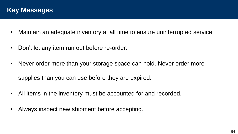- Maintain an adequate inventory at all time to ensure uninterrupted service
- Don't let any item run out before re-order.
- Never order more than your storage space can hold. Never order more supplies than you can use before they are expired.
- All items in the inventory must be accounted for and recorded.
- Always inspect new shipment before accepting.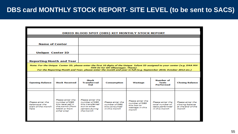### **DBS card MONTHLY STOCK REPORT- SITE LEVEL (to be sent to SACS)**

| DRIED BLOOD SPOT (DBS) KIT MONTHLY STOCK REPORT                                                                                                                                                                                                                                         |                                                                                                         |                                                                                                      |                                                                     |                                                                               |                                                                         |                                                                   |  |  |  |
|-----------------------------------------------------------------------------------------------------------------------------------------------------------------------------------------------------------------------------------------------------------------------------------------|---------------------------------------------------------------------------------------------------------|------------------------------------------------------------------------------------------------------|---------------------------------------------------------------------|-------------------------------------------------------------------------------|-------------------------------------------------------------------------|-------------------------------------------------------------------|--|--|--|
|                                                                                                                                                                                                                                                                                         |                                                                                                         |                                                                                                      |                                                                     |                                                                               |                                                                         |                                                                   |  |  |  |
| <b>Name of Center</b>                                                                                                                                                                                                                                                                   |                                                                                                         |                                                                                                      |                                                                     |                                                                               |                                                                         |                                                                   |  |  |  |
| <b>Unique Center ID</b>                                                                                                                                                                                                                                                                 |                                                                                                         |                                                                                                      |                                                                     |                                                                               |                                                                         |                                                                   |  |  |  |
| <b>Reporting Month and Year</b>                                                                                                                                                                                                                                                         |                                                                                                         |                                                                                                      |                                                                     |                                                                               |                                                                         |                                                                   |  |  |  |
| Note: For the Unique Center ID, please enter the first 10 digits of the Unique Infant ID assigned to your center (e.g. DNA MH<br>THN 01 for GH Ulhasnagar, Thane)<br>For the Reporting Month and Year, please enter the month and year in full (e.g. September 2010, October 2012 etc.) |                                                                                                         |                                                                                                      |                                                                     |                                                                               |                                                                         |                                                                   |  |  |  |
|                                                                                                                                                                                                                                                                                         |                                                                                                         |                                                                                                      |                                                                     |                                                                               |                                                                         |                                                                   |  |  |  |
| <b>Opening Balance</b>                                                                                                                                                                                                                                                                  | <b>Stock Received</b>                                                                                   | Stock<br><b>Transferred</b><br>Out                                                                   | <b>Consumption</b>                                                  | Wastage                                                                       | <b>Number of</b><br><b>Tests</b><br>Performed                           | <b>Closing Balance</b>                                            |  |  |  |
|                                                                                                                                                                                                                                                                                         |                                                                                                         |                                                                                                      |                                                                     |                                                                               |                                                                         |                                                                   |  |  |  |
| Please enter the<br>balance at the<br>start of the month<br>here                                                                                                                                                                                                                        | Please enter the<br>number of DBS<br>kits received in<br>the month (from<br>NACO or from<br>other site) | Please enter the<br>number of DBS<br>kits transferred<br>out to other<br>centers durina<br>the month | Please enter the<br>number of DBS<br>kits consumed<br>in this month | Please enter the<br>number of DBS<br>kits lost to<br>wastage in this<br>month | Please enter the<br>total number of<br>tests performed<br>in this month | Please enter the<br>closing balance<br>at the end of the<br>month |  |  |  |